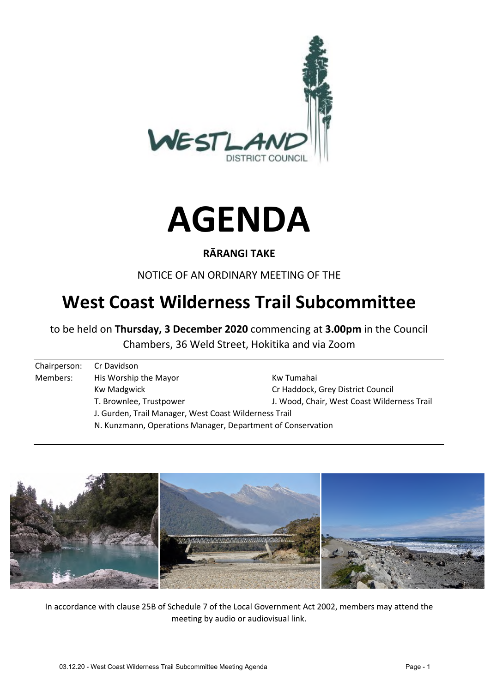



### **RĀRANGI TAKE**

NOTICE OF AN ORDINARY MEETING OF THE

# **West Coast Wilderness Trail Subcommittee**

to be held on **Thursday, 3 December 2020** commencing at **3.00pm** in the Council Chambers, 36 Weld Street, Hokitika and via Zoom

| Chairperson: | Cr Davidson                                                 |                                             |  |  |  |
|--------------|-------------------------------------------------------------|---------------------------------------------|--|--|--|
| Members:     | His Worship the Mayor                                       | Kw Tumahai                                  |  |  |  |
|              | Kw Madgwick                                                 | Cr Haddock, Grey District Council           |  |  |  |
|              | T. Brownlee, Trustpower                                     | J. Wood, Chair, West Coast Wilderness Trail |  |  |  |
|              | J. Gurden, Trail Manager, West Coast Wilderness Trail       |                                             |  |  |  |
|              | N. Kunzmann, Operations Manager, Department of Conservation |                                             |  |  |  |



In accordance with clause 25B of Schedule 7 of the Local Government Act 2002, members may attend the meeting by audio or audiovisual link.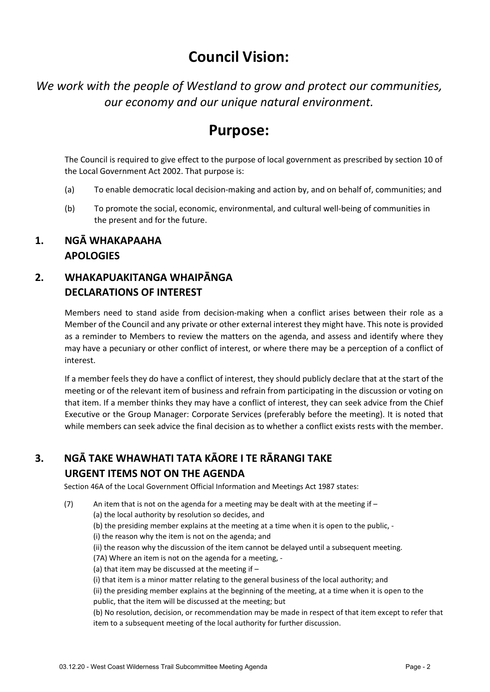# **Council Vision:**

*We work with the people of Westland to grow and protect our communities, our economy and our unique natural environment.* 

## **Purpose:**

The Council is required to give effect to the purpose of local government as prescribed by section 10 of the Local Government Act 2002. That purpose is:

- (a) To enable democratic local decision-making and action by, and on behalf of, communities; and
- (b) To promote the social, economic, environmental, and cultural well-being of communities in the present and for the future.

#### **1. NGĀ WHAKAPAAHA APOLOGIES**

### **2. WHAKAPUAKITANGA WHAIPĀNGA DECLARATIONS OF INTEREST**

Members need to stand aside from decision-making when a conflict arises between their role as a Member of the Council and any private or other external interest they might have. This note is provided as a reminder to Members to review the matters on the agenda, and assess and identify where they may have a pecuniary or other conflict of interest, or where there may be a perception of a conflict of interest.

If a member feels they do have a conflict of interest, they should publicly declare that at the start of the meeting or of the relevant item of business and refrain from participating in the discussion or voting on that item. If a member thinks they may have a conflict of interest, they can seek advice from the Chief Executive or the Group Manager: Corporate Services (preferably before the meeting). It is noted that while members can seek advice the final decision as to whether a conflict exists rests with the member.

# **3. NGĀ TAKE WHAWHATI TATA KĀORE I TE RĀRANGI TAKE**

### **URGENT ITEMS NOT ON THE AGENDA**

Section 46A of the Local Government Official Information and Meetings Act 1987 states:

- (7) An item that is not on the agenda for a meeting may be dealt with at the meeting if  $-$ 
	- (a) the local authority by resolution so decides, and
		- (b) the presiding member explains at the meeting at a time when it is open to the public, -
	- (i) the reason why the item is not on the agenda; and
	- (ii) the reason why the discussion of the item cannot be delayed until a subsequent meeting.
	- (7A) Where an item is not on the agenda for a meeting, -
	- (a) that item may be discussed at the meeting if –
	- (i) that item is a minor matter relating to the general business of the local authority; and

(ii) the presiding member explains at the beginning of the meeting, at a time when it is open to the public, that the item will be discussed at the meeting; but

(b) No resolution, decision, or recommendation may be made in respect of that item except to refer that item to a subsequent meeting of the local authority for further discussion.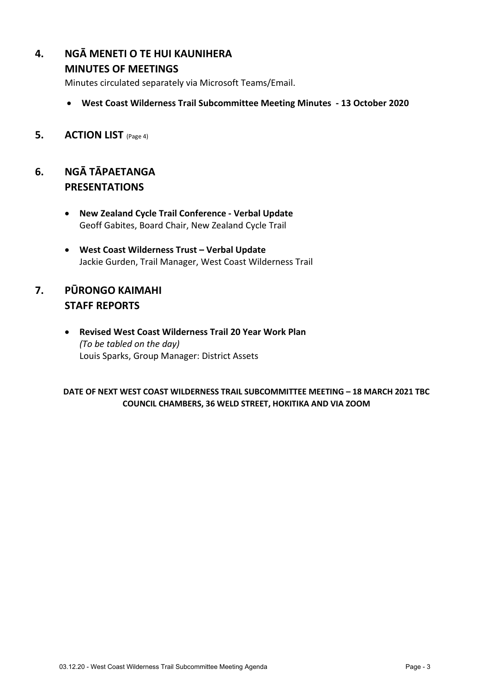### **4. NGĀ MENETI O TE HUI KAUNIHERA**

#### **MINUTES OF MEETINGS**

Minutes circulated separately via Microsoft Teams/Email.

- **West Coast Wilderness Trail Subcommittee Meeting Minutes 13 October 2020**
- **5. ACTION LIST** (Page 4)

### **6. NGĀ TĀPAETANGA PRESENTATIONS**

- **New Zealand Cycle Trail Conference - Verbal Update** Geoff Gabites, Board Chair, New Zealand Cycle Trail
- **West Coast Wilderness Trust – Verbal Update** Jackie Gurden, Trail Manager, West Coast Wilderness Trail

## **7. PŪRONGO KAIMAHI STAFF REPORTS**

 **Revised West Coast Wilderness Trail 20 Year Work Plan**  *(To be tabled on the day)*  Louis Sparks, Group Manager: District Assets

#### **DATE OF NEXT WEST COAST WILDERNESS TRAIL SUBCOMMITTEE MEETING – 18 MARCH 2021 TBC COUNCIL CHAMBERS, 36 WELD STREET, HOKITIKA AND VIA ZOOM**